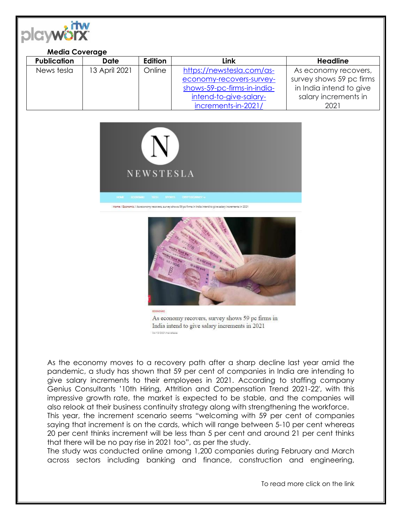

## **Media Coverage**

| <b>Publication</b> | Date          | Edition | Link                        | Headline                 |
|--------------------|---------------|---------|-----------------------------|--------------------------|
| News tesla         | 13 April 2021 | Online  | https://newstesla.com/as-   | As economy recovers,     |
|                    |               |         | economy-recovers-survey-    | survey shows 59 pc firms |
|                    |               |         | shows-59-pc-firms-in-india- | in India intend to give  |
|                    |               |         | intend-to-give-salary-      | salary increments in     |
|                    |               |         | increments-in-2021/         | 2021                     |





As economy recovers, survey shows 59 pc firms in India intend to give salary increments in 2021 04/13/2021/hewstesia

As the economy moves to a recovery path after a sharp decline last year amid the pandemic, a study has shown that 59 per cent of companies in India are intending to give salary increments to their employees in 2021. According to staffing company Genius Consultants '10th Hiring, Attrition and Compensation Trend 2021-22′, with this impressive growth rate, the market is expected to be stable, and the companies will also relook at their business continuity strategy along with strengthening the workforce.

This year, the increment scenario seems "welcoming with 59 per cent of companies saying that increment is on the cards, which will range between 5-10 per cent whereas 20 per cent thinks increment will be less than 5 per cent and around 21 per cent thinks that there will be no pay rise in 2021 too", as per the study.

The study was conducted online among 1,200 companies during February and March across sectors including banking and finance, construction and engineering,

To read more click on the link